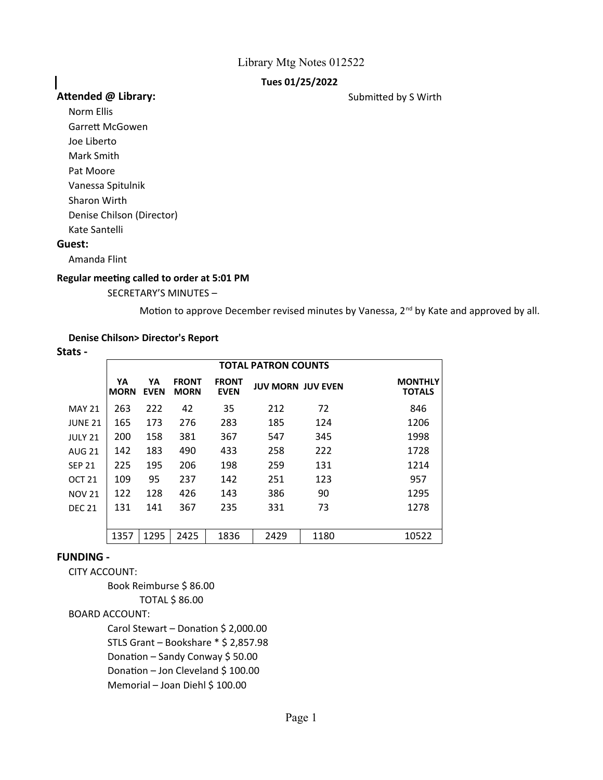## **Tues 01/25/2022**

## Attended @ Library: **Attended @ Library:** Submitted by S Wirth

Norm Ellis Garrett McGowen

I

Joe Liberto

Mark Smith

Pat Moore

Vanessa Spitulnik

Sharon Wirth

Denise Chilson (Director)

Kate Santelli

## **Guest:**

Amanda Flint

#### **Regular meeting called to order at 5:01 PM**

SECRETARY'S MINUTES –

Motion to approve December revised minutes by Vanessa, 2<sup>nd</sup> by Kate and approved by all.

## **Denise Chilson> Director's Report**

| . .<br>. .<br>×<br>۰.<br>×<br>.,<br>۰.<br>w |  |
|---------------------------------------------|--|
|---------------------------------------------|--|

|               | <b>TOTAL PATRON COUNTS</b> |                   |                             |                             |                          |      |                                 |
|---------------|----------------------------|-------------------|-----------------------------|-----------------------------|--------------------------|------|---------------------------------|
|               | YА<br><b>MORN</b>          | YА<br><b>EVEN</b> | <b>FRONT</b><br><b>MORN</b> | <b>FRONT</b><br><b>EVEN</b> | <b>JUV MORN JUV EVEN</b> |      | <b>MONTHLY</b><br><b>TOTALS</b> |
| <b>MAY 21</b> | 263                        | 222               | 42                          | 35                          | 212                      | 72   | 846                             |
| JUNE 21       | 165                        | 173               | 276                         | 283                         | 185                      | 124  | 1206                            |
| JULY 21       | 200                        | 158               | 381                         | 367                         | 547                      | 345  | 1998                            |
| AUG 21        | 142                        | 183               | 490                         | 433                         | 258                      | 222  | 1728                            |
| <b>SEP 21</b> | 225                        | 195               | 206                         | 198                         | 259                      | 131  | 1214                            |
| OCT 21        | 109                        | 95                | 237                         | 142                         | 251                      | 123  | 957                             |
| <b>NOV 21</b> | 122                        | 128               | 426                         | 143                         | 386                      | 90   | 1295                            |
| <b>DEC 21</b> | 131                        | 141               | 367                         | 235                         | 331                      | 73   | 1278                            |
|               |                            |                   |                             |                             |                          |      |                                 |
|               | 1357                       | 1295              | 2425                        | 1836                        | 2429                     | 1180 | 10522                           |

## **FUNDING -**

CITY ACCOUNT:

Book Reimburse \$ 86.00 TOTAL \$ 86.00 BOARD ACCOUNT: Carol Stewart – Donation \$ 2,000.00 STLS Grant – Bookshare \* \$ 2,857.98 Donation – Sandy Conway \$ 50.00 Donation – Jon Cleveland \$ 100.00 Memorial – Joan Diehl \$ 100.00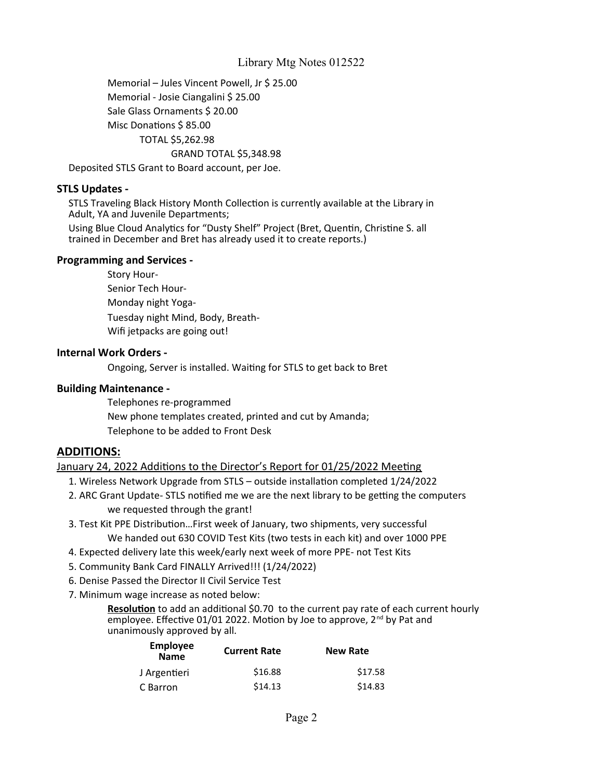Memorial – Jules Vincent Powell, Jr \$ 25.00 Memorial - Josie Ciangalini \$ 25.00 Sale Glass Ornaments \$ 20.00 Misc Donations \$ 85.00 TOTAL \$5,262.98 GRAND TOTAL \$5,348.98

Deposited STLS Grant to Board account, per Joe.

## **STLS Updates -**

STLS Traveling Black History Month Collection is currently available at the Library in Adult, YA and Juvenile Departments;

Using Blue Cloud Analytics for "Dusty Shelf" Project (Bret, Quentin, Christine S. all trained in December and Bret has already used it to create reports.)

#### **Programming and Services -**

Senior Tech Hour-Monday night Yoga-Tuesday night Mind, Body, Breath-Wifi jetpacks are going out! Story Hour-

#### **Internal Work Orders -**

Ongoing, Server is installed. Waiting for STLS to get back to Bret

#### **Building Maintenance -**

Telephones re-programmed New phone templates created, printed and cut by Amanda; Telephone to be added to Front Desk

## **ADDITIONS:**

January 24, 2022 Additions to the Director's Report for 01/25/2022 Meeting

1. Wireless Network Upgrade from STLS – outside installation completed 1/24/2022

- 2. ARC Grant Update- STLS notified me we are the next library to be getting the computers we requested through the grant!
- 3. Test Kit PPE Distribution…First week of January, two shipments, very successful We handed out 630 COVID Test Kits (two tests in each kit) and over 1000 PPE
- 4. Expected delivery late this week/early next week of more PPE- not Test Kits
- 5. Community Bank Card FINALLY Arrived!!! (1/24/2022)
- 6. Denise Passed the Director II Civil Service Test
- 7. Minimum wage increase as noted below:

**Resolution** to add an additional \$0.70 to the current pay rate of each current hourly employee. Effective 01/01 2022. Motion by Joe to approve, 2<sup>nd</sup> by Pat and unanimously approved by all.

| <b>Employee</b><br><b>Name</b> | <b>Current Rate</b> | <b>New Rate</b> |  |
|--------------------------------|---------------------|-----------------|--|
| J Argentieri                   | \$16.88             | \$17.58         |  |
| C Barron                       | \$14.13             | \$14.83         |  |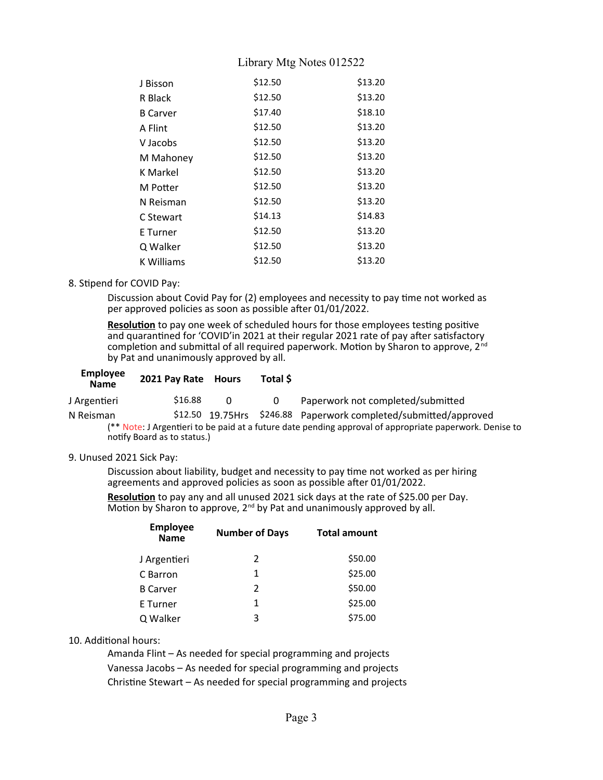| J Bisson          | \$12.50 | \$13.20 |
|-------------------|---------|---------|
| R Black           | \$12.50 | \$13.20 |
| <b>B</b> Carver   | \$17.40 | \$18.10 |
| A Flint           | \$12.50 | \$13.20 |
| V Jacobs          | \$12.50 | \$13.20 |
| M Mahoney         | \$12.50 | \$13.20 |
| <b>K</b> Markel   | \$12.50 | \$13.20 |
| M Potter          | \$12.50 | \$13.20 |
| N Reisman         | \$12.50 | \$13.20 |
| C Stewart         | \$14.13 | \$14.83 |
| E Turner          | \$12.50 | \$13.20 |
| Q Walker          | \$12.50 | \$13.20 |
| <b>K Williams</b> | \$12.50 | \$13.20 |

#### 8. Stipend for COVID Pay:

Discussion about Covid Pay for (2) employees and necessity to pay time not worked as per approved policies as soon as possible after 01/01/2022.

**Resolution** to pay one week of scheduled hours for those employees testing positive and quarantined for 'COVID'in 2021 at their regular 2021 rate of pay after satisfactory completion and submittal of all required paperwork. Motion by Sharon to approve, 2nd by Pat and unanimously approved by all.

| <b>Employee</b><br><b>Name</b> | 2021 Pay Rate Hours         |   | Total \$ |                                                                                                         |
|--------------------------------|-----------------------------|---|----------|---------------------------------------------------------------------------------------------------------|
| J Argentieri                   | \$16.88                     | 0 | 0        | Paperwork not completed/submitted                                                                       |
| N Reisman                      |                             |   |          | \$12.50 19.75Hrs \$246.88 Paperwork completed/submitted/approved                                        |
|                                |                             |   |          | (** Note: J Argentieri to be paid at a future date pending approval of appropriate paperwork. Denise to |
|                                | notify Board as to status.) |   |          |                                                                                                         |

#### 9. Unused 2021 Sick Pay:

Discussion about liability, budget and necessity to pay time not worked as per hiring agreements and approved policies as soon as possible after 01/01/2022.

**Resolution** to pay any and all unused 2021 sick days at the rate of \$25.00 per Day. Motion by Sharon to approve, 2<sup>nd</sup> by Pat and unanimously approved by all.

| <b>Employee</b><br><b>Name</b> | <b>Number of Days</b> | <b>Total amount</b> |  |
|--------------------------------|-----------------------|---------------------|--|
| J Argentieri                   | 2                     | \$50.00             |  |
| C Barron                       | 1                     | \$25.00             |  |
| <b>B</b> Carver                | $\mathcal{P}$         | \$50.00             |  |
| E Turner                       | 1                     | \$25.00             |  |
| Q Walker                       | 3                     | \$75.00             |  |

## 10. Additional hours:

Amanda Flint – As needed for special programming and projects Vanessa Jacobs – As needed for special programming and projects Christine Stewart – As needed for special programming and projects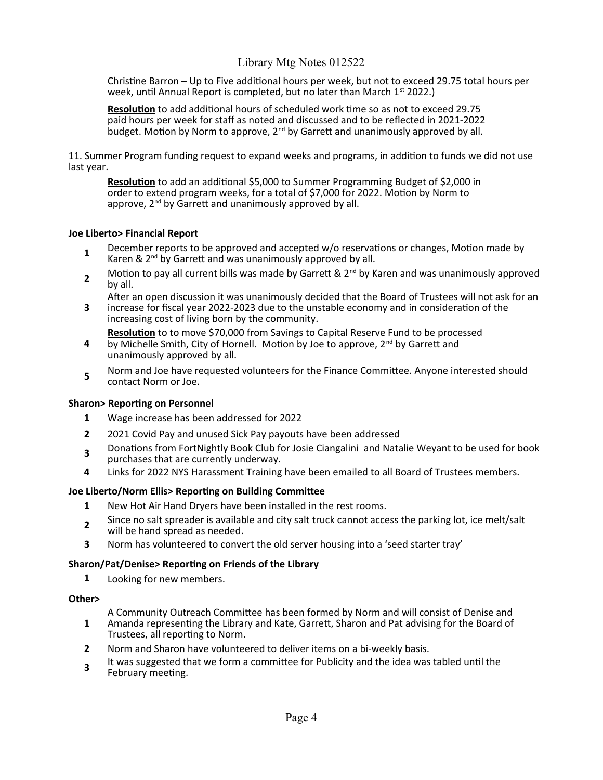Christine Barron – Up to Five additional hours per week, but not to exceed 29.75 total hours per week, until Annual Report is completed, but no later than March 1<sup>st</sup> 2022.)

**Resolution** to add additional hours of scheduled work time so as not to exceed 29.75 paid hours per week for staff as noted and discussed and to be reflected in 2021-2022 budget. Motion by Norm to approve,  $2^{nd}$  by Garrett and unanimously approved by all.

11. Summer Program funding request to expand weeks and programs, in addition to funds we did not use last year.

**Resolution** to add an additional \$5,000 to Summer Programming Budget of \$2,000 in order to extend program weeks, for a total of \$7,000 for 2022. Motion by Norm to approve, 2<sup>nd</sup> by Garrett and unanimously approved by all.

#### **Joe Liberto> Financial Report**

- **1** December reports to be approved and accepted w/o reservations or changes, Motion made by Karen &  $2<sup>nd</sup>$  by Garrett and was unanimously approved by all.
- **2** Motion to pay all current bills was made by Garrett &  $2<sup>nd</sup>$  by Karen and was unanimously approved by all.

**3** After an open discussion it was unanimously decided that the Board of Trustees will not ask for an increase for fiscal year 2022-2023 due to the unstable economy and in consideration of the

- increasing cost of living born by the community. **Resolution** to to move \$70,000 from Savings to Capital Reserve Fund to be processed
- **4** by Michelle Smith, City of Hornell. Motion by Joe to approve, 2<sup>nd</sup> by Garrett and unanimously approved by all.
- **5** Norm and Joe have requested volunteers for the Finance Committee. Anyone interested should contact Norm or Joe.

#### **Sharon> Reporting on Personnel**

- **1** Wage increase has been addressed for 2022
- **2** 2021 Covid Pay and unused Sick Pay payouts have been addressed
- **3** Donations from FortNightly Book Club for Josie Ciangalini and Natalie Weyant to be used for book
- purchases that are currently underway.
- **4** Links for 2022 NYS Harassment Training have been emailed to all Board of Trustees members.

#### **Joe Liberto/Norm Ellis> Reporting on Building Committee**

- **1** New Hot Air Hand Dryers have been installed in the rest rooms.
- **2** Since no salt spreader is available and city salt truck cannot access the parking lot, ice melt/salt will be hand spread as needed.
- **3** Norm has volunteered to convert the old server housing into a 'seed starter tray'

#### **Sharon/Pat/Denise> Reporting on Friends of the Library**

**1** Looking for new members.

#### **Other>**

A Community Outreach Committee has been formed by Norm and will consist of Denise and

- **1** Amanda representing the Library and Kate, Garrett, Sharon and Pat advising for the Board of Trustees, all reporting to Norm.
- **2** Norm and Sharon have volunteered to deliver items on a bi-weekly basis.
- **3** It was suggested that we form a committee for Publicity and the idea was tabled until the February meeting.